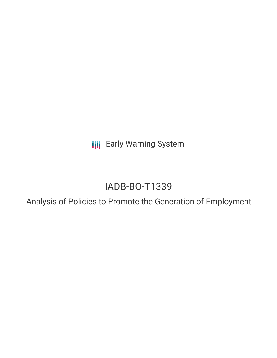**III** Early Warning System

# IADB-BO-T1339

Analysis of Policies to Promote the Generation of Employment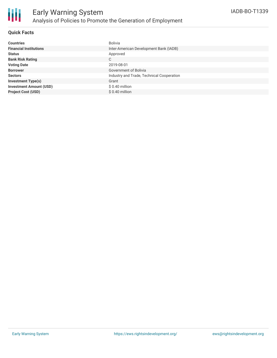

# **Quick Facts**

| <b>Countries</b>               | <b>Bolivia</b>                            |
|--------------------------------|-------------------------------------------|
| <b>Financial Institutions</b>  | Inter-American Development Bank (IADB)    |
| <b>Status</b>                  | Approved                                  |
| <b>Bank Risk Rating</b>        | C                                         |
| <b>Voting Date</b>             | 2019-08-01                                |
| <b>Borrower</b>                | Government of Bolivia                     |
| <b>Sectors</b>                 | Industry and Trade, Technical Cooperation |
| <b>Investment Type(s)</b>      | Grant                                     |
| <b>Investment Amount (USD)</b> | $$0.40$ million                           |
| <b>Project Cost (USD)</b>      | $$0.40$ million                           |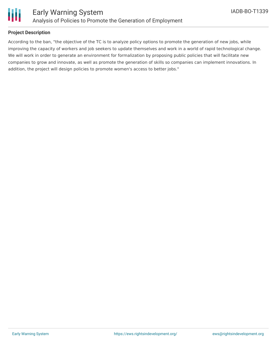

# **Project Description**

According to the ban, "the objective of the TC is to analyze policy options to promote the generation of new jobs, while improving the capacity of workers and job seekers to update themselves and work in a world of rapid technological change. We will work in order to generate an environment for formalization by proposing public policies that will facilitate new companies to grow and innovate, as well as promote the generation of skills so companies can implement innovations. In addition, the project will design policies to promote women's access to better jobs."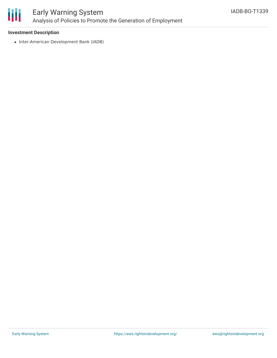

# **Investment Description**

• Inter-American Development Bank (IADB)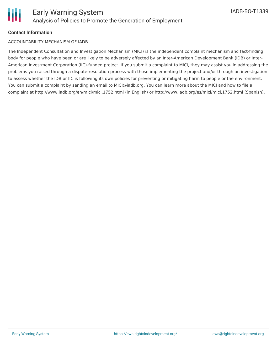

# **Contact Information**

### ACCOUNTABILITY MECHANISM OF IADB

The Independent Consultation and Investigation Mechanism (MICI) is the independent complaint mechanism and fact-finding body for people who have been or are likely to be adversely affected by an Inter-American Development Bank (IDB) or Inter-American Investment Corporation (IIC)-funded project. If you submit a complaint to MICI, they may assist you in addressing the problems you raised through a dispute-resolution process with those implementing the project and/or through an investigation to assess whether the IDB or IIC is following its own policies for preventing or mitigating harm to people or the environment. You can submit a complaint by sending an email to MICI@iadb.org. You can learn more about the MICI and how to file a complaint at http://www.iadb.org/en/mici/mici,1752.html (in English) or http://www.iadb.org/es/mici/mici,1752.html (Spanish).